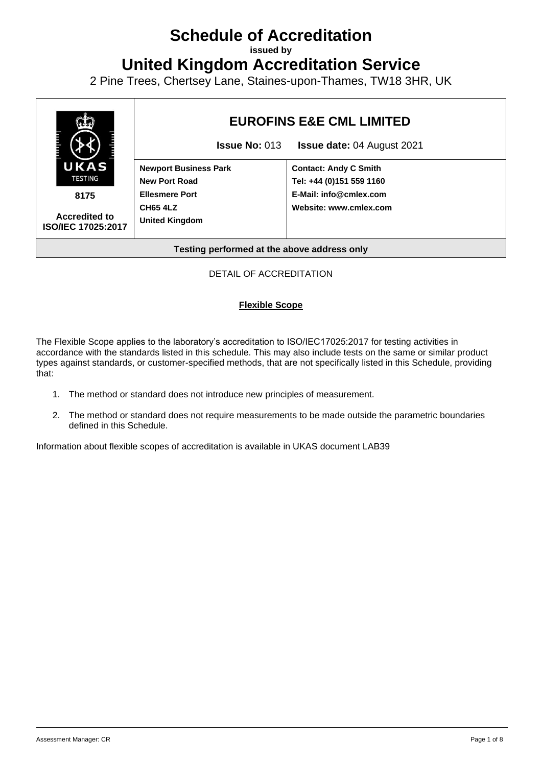# **Schedule of Accreditation**

**issued by**

**United Kingdom Accreditation Service**

2 Pine Trees, Chertsey Lane, Staines-upon-Thames, TW18 3HR, UK



### DETAIL OF ACCREDITATION

#### **Flexible Scope**

The Flexible Scope applies to the laboratory's accreditation to ISO/IEC17025:2017 for testing activities in accordance with the standards listed in this schedule. This may also include tests on the same or similar product types against standards, or customer-specified methods, that are not specifically listed in this Schedule, providing that:

- 1. The method or standard does not introduce new principles of measurement.
- 2. The method or standard does not require measurements to be made outside the parametric boundaries defined in this Schedule.

Information about flexible scopes of accreditation is available in UKAS document LAB39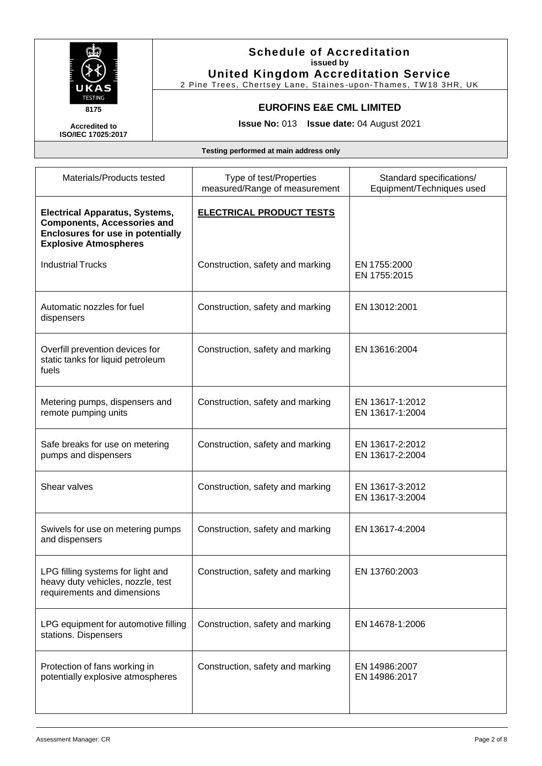

2 Pine Trees, Chertsey Lane, Staines -upon-Thames, TW18 3HR, UK

## **EUROFINS E&E CML LIMITED**

**Issue No:** 013 **Issue date:** 04 August 2021

**Accredited to ISO/IEC 17025:2017**

| Type of test/Properties<br>measured/Range of measurement | Standard specifications/<br>Equipment/Techniques used |
|----------------------------------------------------------|-------------------------------------------------------|
| <b>ELECTRICAL PRODUCT TESTS</b>                          |                                                       |
| Construction, safety and marking                         | EN 1755:2000<br>EN 1755:2015                          |
| Construction, safety and marking                         | EN 13012:2001                                         |
| Construction, safety and marking                         | EN 13616:2004                                         |
| Construction, safety and marking                         | EN 13617-1:2012<br>EN 13617-1:2004                    |
| Construction, safety and marking                         | EN 13617-2:2012<br>EN 13617-2:2004                    |
| Construction, safety and marking                         | EN 13617-3:2012<br>EN 13617-3:2004                    |
| Construction, safety and marking                         | EN 13617-4:2004                                       |
| Construction, safety and marking                         | EN 13760:2003                                         |
| Construction, safety and marking                         | EN 14678-1:2006                                       |
| Construction, safety and marking                         | EN 14986:2007<br>EN 14986:2017                        |
|                                                          |                                                       |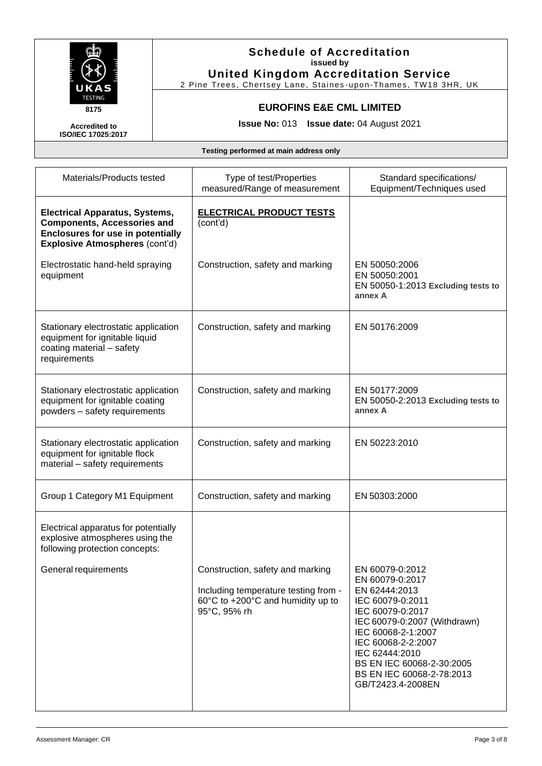

2 Pine Trees, Chertsey Lane, Staines -upon-Thames, TW18 3HR, UK

## **EUROFINS E&E CML LIMITED**

**Issue No:** 013 **Issue date:** 04 August 2021

**Accredited to ISO/IEC 17025:2017**

| Materials/Products tested                                                                                                                                        | Type of test/Properties<br>measured/Range of measurement                                                                      | Standard specifications/<br>Equipment/Techniques used                                                                                                                                                                                                                    |
|------------------------------------------------------------------------------------------------------------------------------------------------------------------|-------------------------------------------------------------------------------------------------------------------------------|--------------------------------------------------------------------------------------------------------------------------------------------------------------------------------------------------------------------------------------------------------------------------|
| <b>Electrical Apparatus, Systems,</b><br><b>Components, Accessories and</b><br><b>Enclosures for use in potentially</b><br><b>Explosive Atmospheres (cont'd)</b> | <b>ELECTRICAL PRODUCT TESTS</b><br>(cont'd)                                                                                   |                                                                                                                                                                                                                                                                          |
| Electrostatic hand-held spraying<br>equipment                                                                                                                    | Construction, safety and marking                                                                                              | EN 50050:2006<br>EN 50050:2001<br>EN 50050-1:2013 Excluding tests to<br>annex A                                                                                                                                                                                          |
| Stationary electrostatic application<br>equipment for ignitable liquid<br>coating material - safety<br>requirements                                              | Construction, safety and marking                                                                                              | EN 50176:2009                                                                                                                                                                                                                                                            |
| Stationary electrostatic application<br>equipment for ignitable coating<br>powders - safety requirements                                                         | Construction, safety and marking                                                                                              | EN 50177:2009<br>EN 50050-2:2013 Excluding tests to<br>annex A                                                                                                                                                                                                           |
| Stationary electrostatic application<br>equipment for ignitable flock<br>material - safety requirements                                                          | Construction, safety and marking                                                                                              | EN 50223:2010                                                                                                                                                                                                                                                            |
| Group 1 Category M1 Equipment                                                                                                                                    | Construction, safety and marking                                                                                              | EN 50303:2000                                                                                                                                                                                                                                                            |
| Electrical apparatus for potentially<br>explosive atmospheres using the<br>following protection concepts:                                                        |                                                                                                                               |                                                                                                                                                                                                                                                                          |
| General requirements                                                                                                                                             | Construction, safety and marking<br>Including temperature testing from -<br>60°C to +200°C and humidity up to<br>95°C, 95% rh | EN 60079-0:2012<br>EN 60079-0:2017<br>EN 62444:2013<br>IEC 60079-0:2011<br>IEC 60079-0:2017<br>IEC 60079-0:2007 (Withdrawn)<br>IEC 60068-2-1:2007<br>IEC 60068-2-2:2007<br>IEC 62444:2010<br>BS EN IEC 60068-2-30:2005<br>BS EN IEC 60068-2-78:2013<br>GB/T2423.4-2008EN |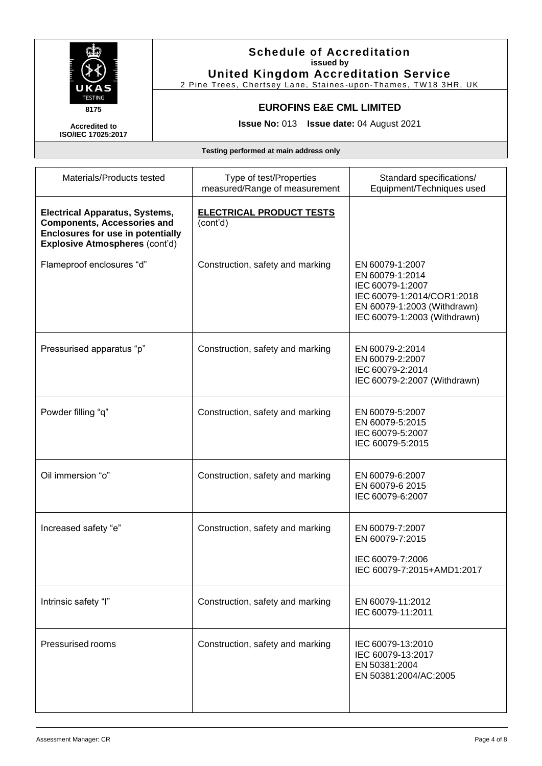

2 Pine Trees, Chertsey Lane, Staines -upon-Thames, TW18 3HR, UK

## **EUROFINS E&E CML LIMITED**

**Issue No:** 013 **Issue date:** 04 August 2021

**Accredited to ISO/IEC 17025:2017**

| Materials/Products tested                                                                                                                                        | Type of test/Properties<br>measured/Range of measurement | Standard specifications/<br>Equipment/Techniques used                                                                                               |
|------------------------------------------------------------------------------------------------------------------------------------------------------------------|----------------------------------------------------------|-----------------------------------------------------------------------------------------------------------------------------------------------------|
| <b>Electrical Apparatus, Systems,</b><br><b>Components, Accessories and</b><br><b>Enclosures for use in potentially</b><br><b>Explosive Atmospheres (cont'd)</b> | <b>ELECTRICAL PRODUCT TESTS</b><br>(cont'd)              |                                                                                                                                                     |
| Flameproof enclosures "d"                                                                                                                                        | Construction, safety and marking                         | EN 60079-1:2007<br>EN 60079-1:2014<br>IEC 60079-1:2007<br>IEC 60079-1:2014/COR1:2018<br>EN 60079-1:2003 (Withdrawn)<br>IEC 60079-1:2003 (Withdrawn) |
| Pressurised apparatus "p"                                                                                                                                        | Construction, safety and marking                         | EN 60079-2:2014<br>EN 60079-2:2007<br>IEC 60079-2:2014<br>IEC 60079-2:2007 (Withdrawn)                                                              |
| Powder filling "q"                                                                                                                                               | Construction, safety and marking                         | EN 60079-5:2007<br>EN 60079-5:2015<br>IEC 60079-5:2007<br>IEC 60079-5:2015                                                                          |
| Oil immersion "o"                                                                                                                                                | Construction, safety and marking                         | EN 60079-6:2007<br>EN 60079-6 2015<br>IEC 60079-6:2007                                                                                              |
| Increased safety "e"                                                                                                                                             | Construction, safety and marking                         | EN 60079-7:2007<br>EN 60079-7:2015<br>IEC 60079-7:2006<br>IEC 60079-7:2015+AMD1:2017                                                                |
| Intrinsic safety "I"                                                                                                                                             | Construction, safety and marking                         | EN 60079-11:2012<br>IEC 60079-11:2011                                                                                                               |
| Pressurised rooms                                                                                                                                                | Construction, safety and marking                         | IEC 60079-13:2010<br>IEC 60079-13:2017<br>EN 50381:2004<br>EN 50381:2004/AC:2005                                                                    |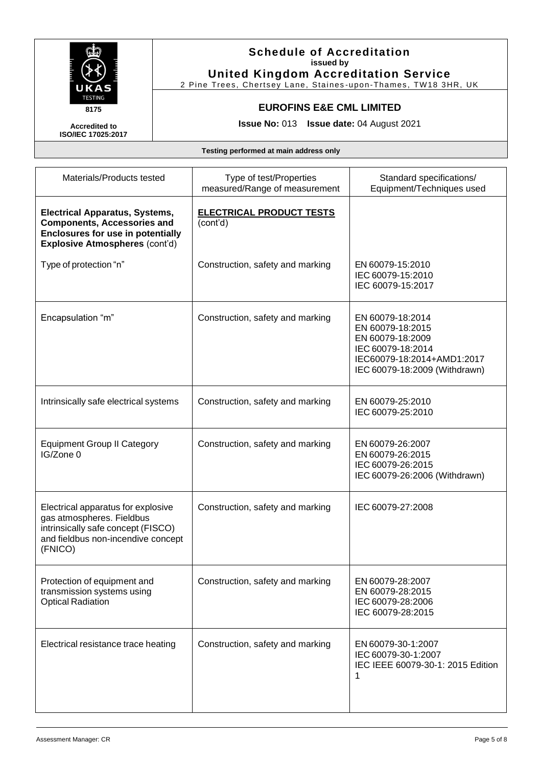

2 Pine Trees, Chertsey Lane, Staines -upon-Thames, TW18 3HR, UK

## **EUROFINS E&E CML LIMITED**

**Issue No:** 013 **Issue date:** 04 August 2021

**Accredited to ISO/IEC 17025:2017**

| Materials/Products tested                                                                                                                                 | Type of test/Properties<br>measured/Range of measurement | Standard specifications/<br>Equipment/Techniques used                                                                                        |
|-----------------------------------------------------------------------------------------------------------------------------------------------------------|----------------------------------------------------------|----------------------------------------------------------------------------------------------------------------------------------------------|
| <b>Electrical Apparatus, Systems,</b><br><b>Components, Accessories and</b><br><b>Enclosures for use in potentially</b><br>Explosive Atmospheres (cont'd) | <b>ELECTRICAL PRODUCT TESTS</b><br>(cont'd)              |                                                                                                                                              |
| Type of protection "n"                                                                                                                                    | Construction, safety and marking                         | EN 60079-15:2010<br>IEC 60079-15:2010<br>IEC 60079-15:2017                                                                                   |
| Encapsulation "m"                                                                                                                                         | Construction, safety and marking                         | EN 60079-18:2014<br>EN 60079-18:2015<br>EN 60079-18:2009<br>IEC 60079-18:2014<br>IEC60079-18:2014+AMD1:2017<br>IEC 60079-18:2009 (Withdrawn) |
| Intrinsically safe electrical systems                                                                                                                     | Construction, safety and marking                         | EN 60079-25:2010<br>IEC 60079-25:2010                                                                                                        |
| <b>Equipment Group II Category</b><br>IG/Zone 0                                                                                                           | Construction, safety and marking                         | EN 60079-26:2007<br>EN 60079-26:2015<br>IEC 60079-26:2015<br>IEC 60079-26:2006 (Withdrawn)                                                   |
| Electrical apparatus for explosive<br>gas atmospheres. Fieldbus<br>intrinsically safe concept (FISCO)<br>and fieldbus non-incendive concept<br>(FNICO)    | Construction, safety and marking                         | IEC 60079-27:2008                                                                                                                            |
| Protection of equipment and<br>transmission systems using<br><b>Optical Radiation</b>                                                                     | Construction, safety and marking                         | EN 60079-28:2007<br>EN 60079-28:2015<br>IEC 60079-28:2006<br>IEC 60079-28:2015                                                               |
| Electrical resistance trace heating                                                                                                                       | Construction, safety and marking                         | EN 60079-30-1:2007<br>IEC 60079-30-1:2007<br>IEC IEEE 60079-30-1: 2015 Edition<br>1                                                          |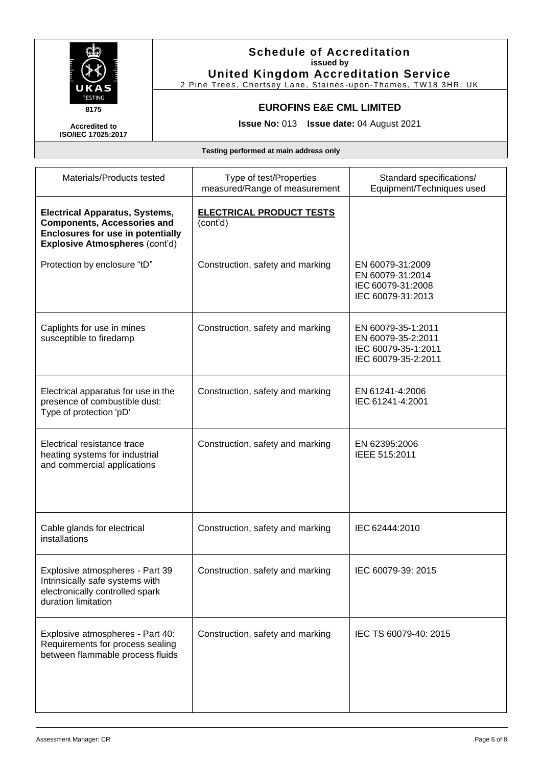

2 Pine Trees, Chertsey Lane, Staines -upon-Thames, TW18 3HR, UK

## **EUROFINS E&E CML LIMITED**

**Issue No:** 013 **Issue date:** 04 August 2021

**Accredited to ISO/IEC 17025:2017**

| Materials/Products tested                                                                                                                                        | Type of test/Properties<br>measured/Range of measurement | Standard specifications/<br>Equipment/Techniques used                                  |
|------------------------------------------------------------------------------------------------------------------------------------------------------------------|----------------------------------------------------------|----------------------------------------------------------------------------------------|
| <b>Electrical Apparatus, Systems,</b><br><b>Components, Accessories and</b><br><b>Enclosures for use in potentially</b><br><b>Explosive Atmospheres (cont'd)</b> | <b>ELECTRICAL PRODUCT TESTS</b><br>(cont'd)              |                                                                                        |
| Protection by enclosure "tD"                                                                                                                                     | Construction, safety and marking                         | EN 60079-31:2009<br>EN 60079-31:2014<br>IEC 60079-31:2008<br>IEC 60079-31:2013         |
| Caplights for use in mines<br>susceptible to firedamp                                                                                                            | Construction, safety and marking                         | EN 60079-35-1:2011<br>EN 60079-35-2:2011<br>IEC 60079-35-1:2011<br>IEC 60079-35-2:2011 |
| Electrical apparatus for use in the<br>presence of combustible dust:<br>Type of protection 'pD'                                                                  | Construction, safety and marking                         | EN 61241-4:2006<br>IEC 61241-4:2001                                                    |
| Electrical resistance trace<br>heating systems for industrial<br>and commercial applications                                                                     | Construction, safety and marking                         | EN 62395:2006<br>IEEE 515:2011                                                         |
| Cable glands for electrical<br>installations                                                                                                                     | Construction, safety and marking                         | IEC 62444:2010                                                                         |
| Explosive atmospheres - Part 39<br>Intrinsically safe systems with<br>electronically controlled spark<br>duration limitation                                     | Construction, safety and marking                         | IEC 60079-39: 2015                                                                     |
| Explosive atmospheres - Part 40:<br>Requirements for process sealing<br>between flammable process fluids                                                         | Construction, safety and marking                         | IEC TS 60079-40: 2015                                                                  |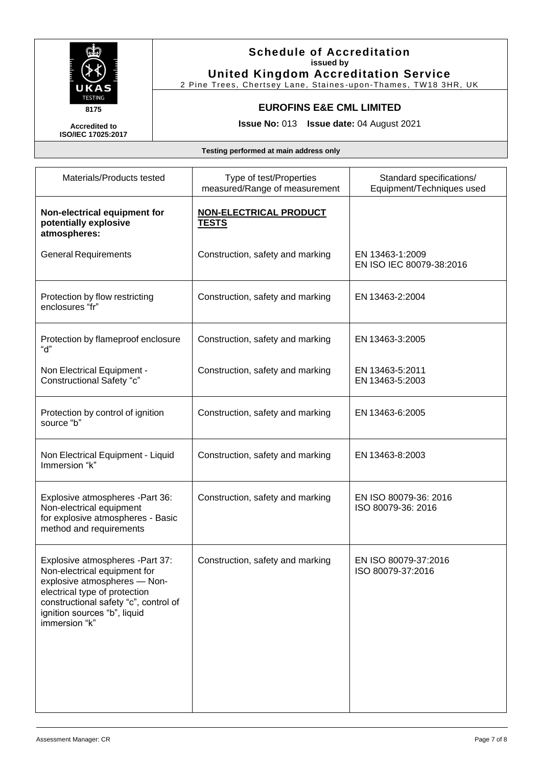

2 Pine Trees, Chertsey Lane, Staines -upon-Thames, TW18 3HR, UK

## **EUROFINS E&E CML LIMITED**

**Issue No:** 013 **Issue date:** 04 August 2021

**Accredited to ISO/IEC 17025:2017**

| Materials/Products tested                                                                                                                                                                                                  | Type of test/Properties<br>measured/Range of measurement | Standard specifications/<br>Equipment/Techniques used |
|----------------------------------------------------------------------------------------------------------------------------------------------------------------------------------------------------------------------------|----------------------------------------------------------|-------------------------------------------------------|
| Non-electrical equipment for<br>potentially explosive<br>atmospheres:                                                                                                                                                      | <b>NON-ELECTRICAL PRODUCT</b><br><b>TESTS</b>            |                                                       |
| <b>General Requirements</b>                                                                                                                                                                                                | Construction, safety and marking                         | EN 13463-1:2009<br>EN ISO IEC 80079-38:2016           |
| Protection by flow restricting<br>enclosures "fr"                                                                                                                                                                          | Construction, safety and marking                         | EN 13463-2:2004                                       |
| Protection by flameproof enclosure<br>"d"                                                                                                                                                                                  | Construction, safety and marking                         | EN 13463-3:2005                                       |
| Non Electrical Equipment -<br><b>Constructional Safety "c"</b>                                                                                                                                                             | Construction, safety and marking                         | EN 13463-5:2011<br>EN 13463-5:2003                    |
| Protection by control of ignition<br>source "b"                                                                                                                                                                            | Construction, safety and marking                         | EN 13463-6:2005                                       |
| Non Electrical Equipment - Liquid<br>Immersion "k"                                                                                                                                                                         | Construction, safety and marking                         | EN 13463-8:2003                                       |
| Explosive atmospheres -Part 36:<br>Non-electrical equipment<br>for explosive atmospheres - Basic<br>method and requirements                                                                                                | Construction, safety and marking                         | EN ISO 80079-36: 2016<br>ISO 80079-36: 2016           |
| Explosive atmospheres -Part 37:<br>Non-electrical equipment for<br>explosive atmospheres - Non-<br>electrical type of protection<br>constructional safety "c", control of<br>ignition sources "b", liquid<br>immersion "k" | Construction, safety and marking                         | EN ISO 80079-37:2016<br>ISO 80079-37:2016             |